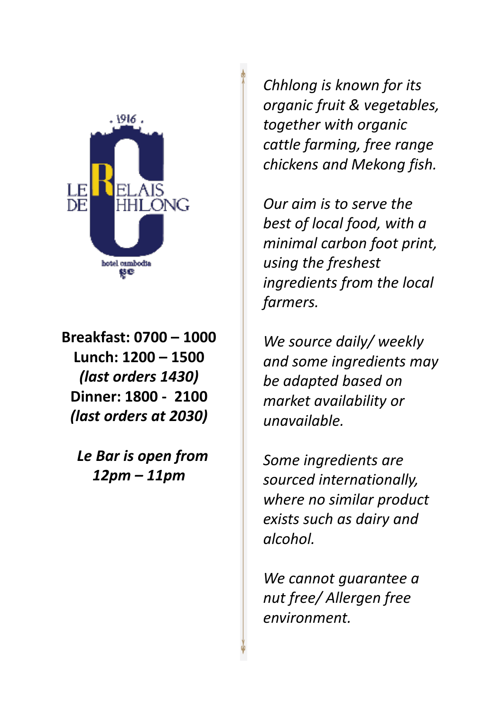

**Breakfast: 0700 – 1000 Lunch: 1200 – 1500** *(last orders 1430)* **Dinner: 1800 - 2100** *(last orders at 2030)*

 *Le Bar is open from 12pm – 11pm* 

*Chhlong is known for its organic fruit & vegetables, together with organic cattle farming, free range chickens and Mekong fish.* 

*Our aim is to serve the best of local food, with a minimal carbon foot print, using the freshest ingredients from the local farmers.*

*We source daily/ weekly and some ingredients may be adapted based on market availability or unavailable.*

*Some ingredients are sourced internationally, where no similar product exists such as dairy and alcohol.*

*We cannot guarantee a nut free/ Allergen free environment.*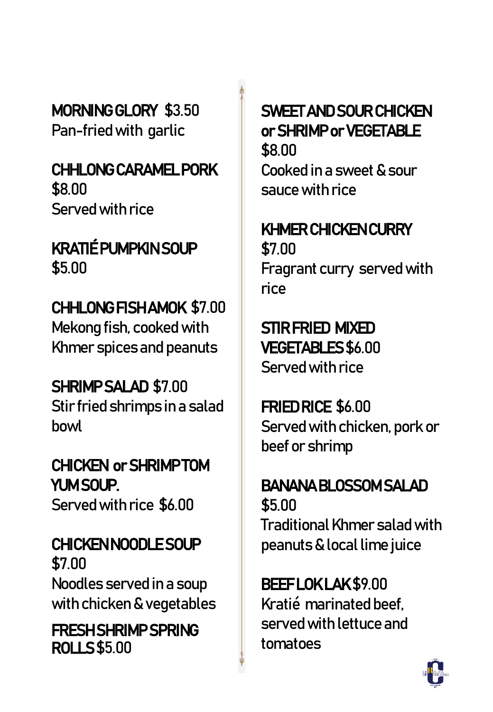MORNING GLORY \$3.50 Pan-fried with garlic

#### CHHLONG CARAMEL PORK \$8.00 Served with rice

## KRATIÉ PUMPKIN SOUP \$5.00

## CHHLONG FISH AMOK \$7.00

Mekong fish, cooked with Khmer spices and peanuts

## SHRIMP SALAD \$7.00

Stir fried shrimps in a salad bowl

## CHICKEN or SHRIMP TOM YUM SOUP.

Served with rice \$6.00

## CHICKEN NOODLE SOUP \$7.00 Noodles served in a soup

with chicken & vegetables

#### FRESH SHRIMP SPRING ROLLS \$5.00

## SWEET AND SOUR CHICKEN or SHRIMP or VEGETABLE

\$8.00 Cooked in a sweet & sour sauce with rice

## KHMER CHICKEN CURRY

\$7.00 Fragrant curry served with rice

## STIR FRIED MIXED

VEGETABLES \$6.00 Served with rice

## FRIED RICE \$6.00

Served with chicken, pork or beef or shrimp

#### BANANA BLOSSOM SALAD

\$5.00 Traditional Khmer salad with peanuts & local lime juice

## BEEF LOK LAK \$9.00

Kratié marinated beef, served with lettuce and tomatoes

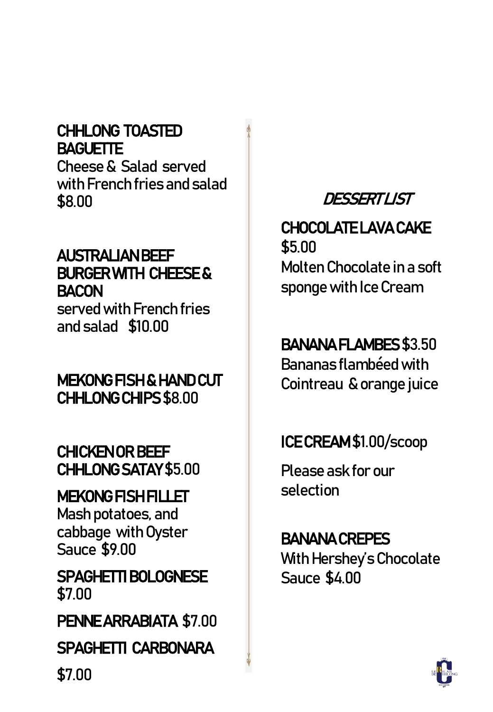#### CHHLONG TOASTED **BAGUETTE**

Cheese & Salad served with French fries and salad \$8.00

#### AUSTRALIAN BEEF BURGER WITH CHEESE & **BACON**

served with French fries and salad \$10.00

#### MEKONG FISH & HAND CUT CHHLONG CHIPS \$8.00

#### CHICKEN OR BEEF CHHLONG SATAY \$5.00

## MEKONG FISH FILLET

Mash potatoes, and cabbage with Oyster Sauce \$9.00

SPAGHETTI BOLOGNESE \$7.00

PENNE ARRABIATA \$7.00

#### SPAGHETTI CARBONARA

## DESSERT LIST

CHOCOLATE LAVA CAKE \$5.00 Molten Chocolate in a soft sponge with Ice Cream

## BANANA FLAMBES \$3.50

Bananas flambéed with Cointreau & orange juice

## ICE CREAM \$1.00/scoop

Please ask for our selection

## BANANA CREPES With Hershey's Chocolate Sauce \$4.00



\$7.00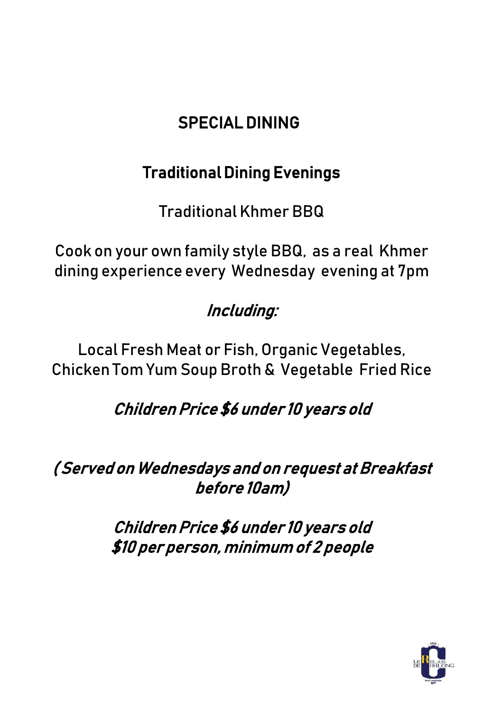## SPECIAL DINING

## Traditional Dining Evenings

Traditional Khmer BBQ

Cook on your own family style BBQ, as a real Khmer dining experience every Wednesday evening at 7pm

## Including:

Local Fresh Meat or Fish, Organic Vegetables, Chicken Tom Yum Soup Broth & Vegetable Fried Rice

## Children Price \$6 under 10 years old

( Served on Wednesdays and on request at Breakfast before 10am)

> Children Price \$6 under 10 years old \$10 per person, minimum of 2 people

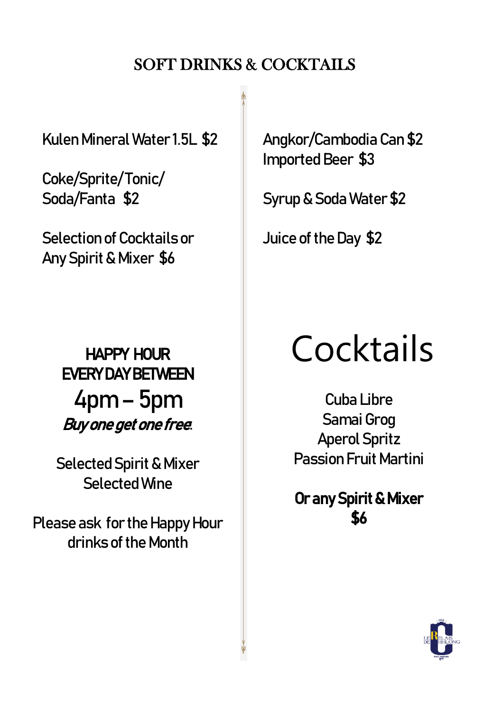#### SOFT DRINKS & COCKTAILS

KulenMineral Water 1.5L \$2

Coke/Sprite/ Tonic/ Soda/Fanta \$2

Selection of Cocktails or Any Spirit & Mixer \$6

> EVERY DAY BETWEEN  $4$ pm – 5pm Buy one get one free:

Selected Spirit & Mixer Selected Wine

Please ask for the Happy Hour drinks of the Month

Angkor/Cambodia Can \$2 Imported Beer \$3

Syrup & Soda Water \$2

Juice of the Day \$2

# HAPPY HOUR COCKtails

Cuba Libre Samai Grog **Aperol Spritz** Passion Fruit Martini

Or any Spirit & Mixer \$6

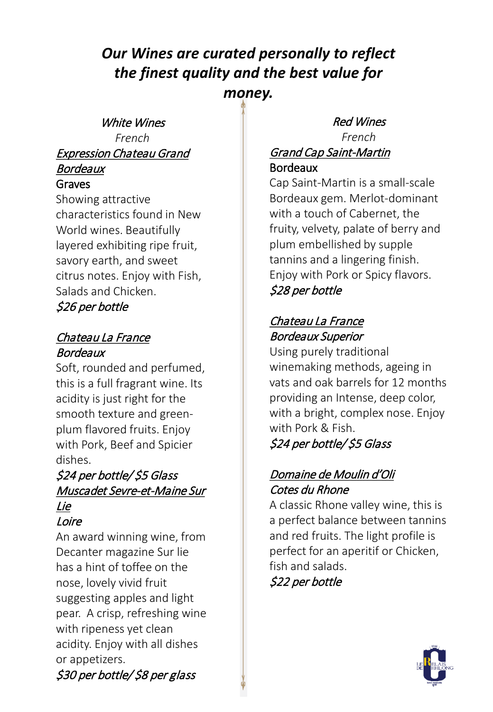#### *Our Wines are curated personally to reflect the finest quality and the best value for money.*

White Wines *French* Expression Chateau Grand

#### Bordeaux Graves

Showing attractive characteristics found in New World wines. Beautifully layered exhibiting ripe fruit, savory earth, and sweet citrus notes. Enjoy with Fish, Salads and Chicken. \$26 per bottle

#### Chateau La France Bordeaux

Soft, rounded and perfumed, this is a full fragrant wine. Its acidity is just right for the smooth texture and greenplum flavored fruits. Enjoy with Pork, Beef and Spicier dishes.

#### \$24 per bottle/ \$5 Glass Muscadet Sevre-et-Maine Sur Lie

Loire

An award winning wine, from Decanter magazine Sur lie has a hint of toffee on the nose, lovely vivid fruit suggesting apples and light pear. A crisp, refreshing wine with ripeness yet clean acidity. Enjoy with all dishes or appetizers. \$30 per bottle/ \$8 per glass

#### Red Wines *French*

#### Grand Cap Saint-Martin Bordeaux

Cap Saint-Martin is a small-scale Bordeaux gem. Merlot-dominant with a touch of Cabernet, the fruity, velvety, palate of berry and plum embellished by supple tannins and a lingering finish. Enjoy with Pork or Spicy flavors. \$28 per bottle

#### Chateau La France Bordeaux Superior

Using purely traditional winemaking methods, ageing in vats and oak barrels for 12 months providing an Intense, deep color, with a bright, complex nose. Enjoy with Pork & Fish.

#### \$24 per bottle/ \$5 Glass

#### Domaine de Moulin d'Oli Cotes du Rhone

A classic Rhone valley wine, this is a perfect balance between tannins and red fruits. The light profile is perfect for an aperitif or Chicken, fish and salads.

\$22 per bottle